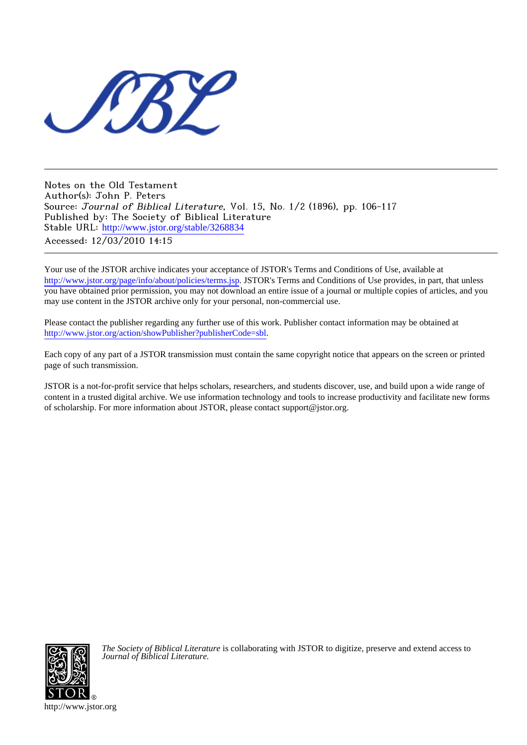

Notes on the Old Testament Author(s): John P. Peters Source: Journal of Biblical Literature, Vol. 15, No. 1/2 (1896), pp. 106-117 Published by: The Society of Biblical Literature Stable URL: [http://www.jstor.org/stable/3268834](http://www.jstor.org/stable/3268834?origin=JSTOR-pdf) Accessed: 12/03/2010 14:15

Your use of the JSTOR archive indicates your acceptance of JSTOR's Terms and Conditions of Use, available at <http://www.jstor.org/page/info/about/policies/terms.jsp>. JSTOR's Terms and Conditions of Use provides, in part, that unless you have obtained prior permission, you may not download an entire issue of a journal or multiple copies of articles, and you may use content in the JSTOR archive only for your personal, non-commercial use.

Please contact the publisher regarding any further use of this work. Publisher contact information may be obtained at [http://www.jstor.org/action/showPublisher?publisherCode=sbl.](http://www.jstor.org/action/showPublisher?publisherCode=sbl)

Each copy of any part of a JSTOR transmission must contain the same copyright notice that appears on the screen or printed page of such transmission.

JSTOR is a not-for-profit service that helps scholars, researchers, and students discover, use, and build upon a wide range of content in a trusted digital archive. We use information technology and tools to increase productivity and facilitate new forms of scholarship. For more information about JSTOR, please contact support@jstor.org.



*The Society of Biblical Literature* is collaborating with JSTOR to digitize, preserve and extend access to *Journal of Biblical Literature.*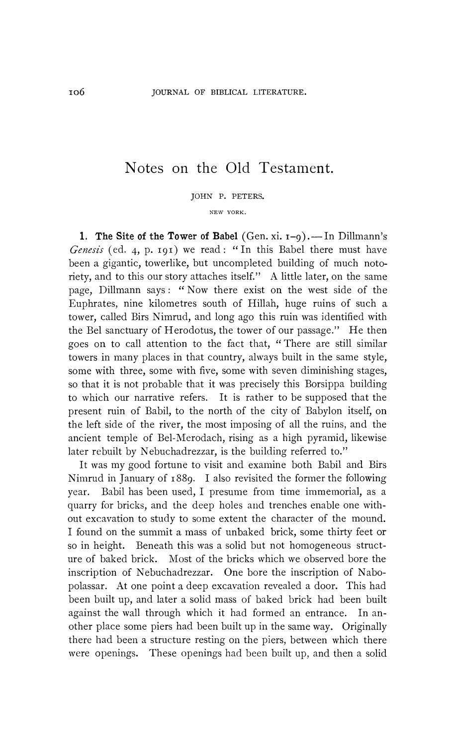## **Notes on the Old Testament.**

**JOHN P. PETERS.** 

**NEW YORK.** 

**1. The Site of the Tower of Babel** (Gen. xi.  $I-q$ ). — In Dillmann's **Genesis (ed. 4, p. 19I) we read: "In this Babel there must have been a gigantic, towerlike, but uncompleted building of much notoriety, and to this our story attaches itself." A little later, on the same page, Dillmann says: "Now there exist on the west side of the Euphrates, nine kilometres south of Hillah, huge ruins of such a tower, called Birs Nimrud, and long ago this ruin was identified with the Bel sanctuary of Herodotus, the tower of our passage." He then goes on to call attention to the fact that, "There are still similar towers in many places in that country, always built in the same style, some with three, some with five, some with seven diminishing stages, so that it is not probable that it was precisely this Borsippa building to which our narrative refers. It is rather to be supposed that the present ruin of Babil, to the north of the city of Babylon itself, on the left side of the river, the most imposing of all the ruins, and the ancient temple of Bel-Merodach, rising as a high pyramid, likewise later rebuilt by Nebuchadrezzar, is the building referred to."** 

**It was my good fortune to visit and examine both Babil and Birs**  Nimrud in January of 1889. I also revisited the former the following vear. Babil has been used. I presume from time immemorial, as a Babil has been used, I presume from time immemorial, as a **quarry for bricks, and the deep holes and trenches enable one without excavation to study to some extent the character of the mound. I found on the summit a mass of unbaked brick, some thirty feet or so in height. Beneath this was a solid but not homogeneous structure of baked brick. Most of the bricks which we observed bore the inscription of Nebuchadrezzar. One bore the inscription of Nabopolassar. At one point a deep excavation revealed a door. This had been built up, and later a solid mass of baked brick had been built against the wall through which it had formed an entrance. In another place some piers had been built up in the same way. Originally there had been a structure resting on the piers, between which there were openings. These openings had been built up, and then a solid**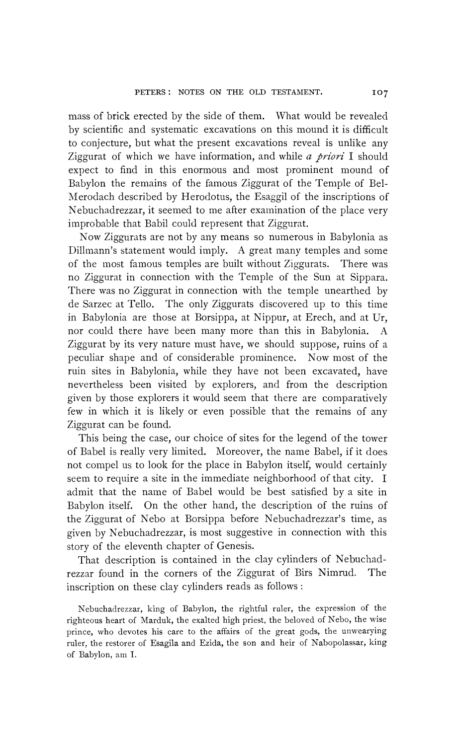**mass of brick erected by the side of them. What would be revealed by scientific and systematic excavations on this mound it is difficult to conjecture, but what the present excavations reveal is unlike any Ziggurat of which we have information, and while a priori I should expect to find in this enormous and most prominent mound of Babylon the remains of the famous Ziggurat of the Temple of Bel-Merodach described by Herodotus, the Esaggil of the inscriptions of Nebuchadrezzar, it seemed to me after examination of the place very improbable that Babil could represent that Ziggurat.** 

**Now Ziggurats are not by any means so numerous in Babylonia as Dillmann's statement would imply. A great many temples and some of the most famous temples are built without Ziggurats. There was no Ziggurat in connection with the Temple of the Sun at Sippara. There was no Ziggurat in connection with the temple unearthed by de Sarzec at Tello. The only Ziggurats discovered up to this time in Babylonia are those at Borsippa, at Nippur, at Erech, and at Ur, nor could there have been many more than this in Babylonia. A Ziggurat by its very nature must have, we should suppose, ruins of a peculiar shape and of considerable prominence. Now most of the ruin sites in Babylonia, while they have not been excavated, have nevertheless been visited by explorers, and from the description given by those explorers it would seem that there are comparatively few in which it is likely or even possible that the remains of any Ziggurat can be found.** 

**This being the case, our choice of sites for the legend of the tower of Babel is really very limited. Moreover, the name Babel, if it does not compel us to look for the place in Babylon itself, would certainly seem to require a site in the immediate neighborhood of that city. I admit that the name of Babel would be best satisfied by a site in Babylon itself. On the other hand, the description of the ruins of the Ziggurat of Nebo at Borsippa before Nebuchadrezzar's time, as given by Nebuchadrezzar, is most suggestive in connection with this story of the eleventh chapter of Genesis.** 

**That description is contained in the clay cylinders of Nebuchad**rezzar found in the corners of the Ziggurat of Birs Nimrud. **inscription on these clay cylinders reads as follows:** 

**Nebuchadrezzar, king of Babylon, the rightful ruler, the expression of the righteous heart of Marduk, the exalted high priest, the beloved of Nebo, the wise prince, who devotes his care to the affairs of the great gods, the unwearying ruler, the restorer of Esagila and Ezida, the son and heir of Nabopolassar, king of Babylon, am T.**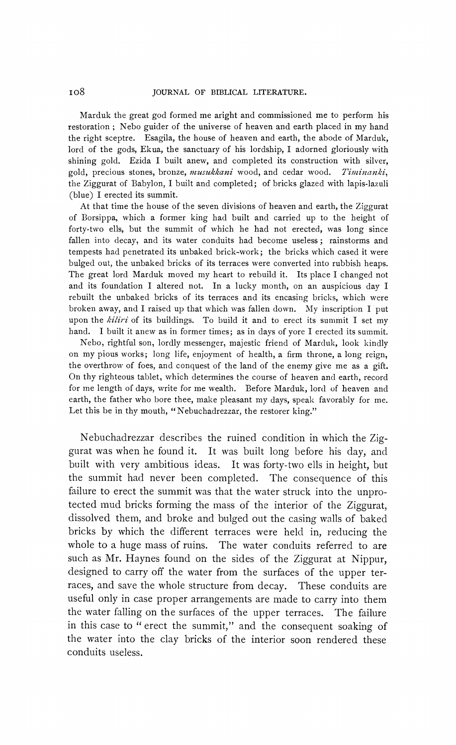**Marduk the great god formed me aright and commissioned me to perform his restoration; Nebo guider of the universe of heaven and earth placed in my hand the right sceptre. Esagila, the house of heaven and earth, the abode of Marduk, lord of the gods, Ekua, the sanctuary of his lordship, I adorned gloriously with shining gold. Ezida I built anew, and completed its construction with silver,**  gold, precious stones, bronze, musukkani wood, and cedar wood. Timinanki, **the Ziggurat of Babylon, I built and completed; of bricks glazed with lapis-lazuli (blue) I erected its summit.** 

**At that time the house of the seven divisions of heaven and earth, the Ziggurat of Borsippa, which a former king had built and carried up to the height of forty-two ells, but the summit of which he had not erected, was long since fallen into decay, and its water conduits had become useless; rainstorms and tempests had penetrated its unbaked brick-work; the bricks which cased it were bulged out, the unbaked bricks of its terraces were converted into rubbish heaps. The great lord Marduk moved my heart to rebuild it. Its place I changed not and its foundation I altered not. In a lucky month, on an auspicious day I rebuilt the unbaked bricks of its terraces and its encasing bricks, which were broken away, and I raised up that which was fallen down. My inscription I put upon the kiliri of its buildings. To build it and to erect its summit I set my hand. I built it anew as in former times; as in days of yore I erected its summit.** 

**Nebo, rightful son, lordly messenger, majestic friend of Marduk, look kindly on my pious works; long life, enjoyment of health, a firm throne, a long reign, the overthrow of foes, and conquest of the land of the enemy give me as a gift. On thy righteous tablet, which determines the course of heaven and earth, record for me length of days, write for me wealth. Before Marduk, lord of heaven and earth, the father who bore thee, make pleasant my days, speak favorably for me. Let this be in thy mouth, "Nebuchadrezzar, the restorer king."** 

**Nebuchadrezzar describes the ruined condition in which the Ziggurat was when he found it. It was built long before his day, and built with very ambitious ideas. It was forty-two ells in height, but the summit had never been completed. The consequence of this failure to erect the summit was that the water struck into the unprotected mud bricks forming the mass of the interior of the Ziggurat, dissolved them, and broke and bulged out the casing walls of baked bricks by which the different terraces were held in, reducing the whole to a huge mass of ruins. The water conduits referred to are such as Mr. Haynes found on the sides of the Ziggurat at Nippur, designed to carry off the water from the surfaces of the upper terraces, and save the whole structure from decay. These conduits are useful only in case proper arrangements are made to carry into them the water falling on the surfaces of the upper terraces. The failure in this case to " erect the summit," and the consequent soaking of the water into the clay bricks of the interior soon rendered these conduits useless.**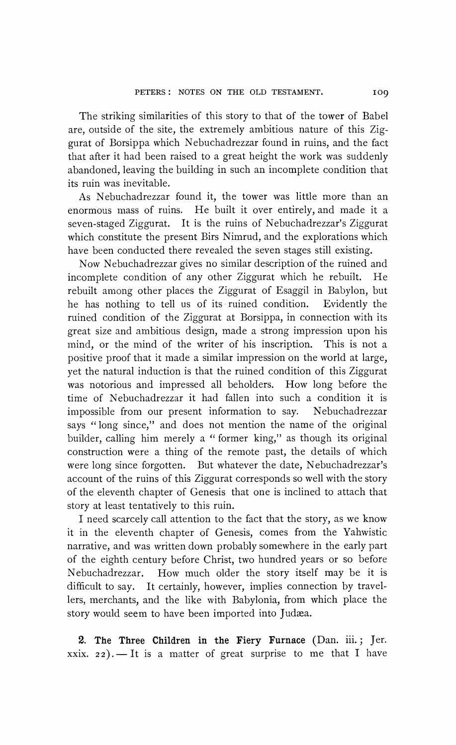**The striking similarities of this story to that of the tower of Babel are, outside of the site, the extremely ambitious nature of this Ziggurat of Borsippa which Nebuchadrezzar found in ruins, and the fact that after it had been raised to a great height the work was suddenly abandoned, leaving the building in such an incomplete condition that its ruin was inevitable.** 

**As Nebuchadrezzar found it, the tower was little more than an enormous mass of ruins. He built it over entirely, and made it a seven-staged Ziggurat. It is the ruins of Nebuchadrezzar's Ziggurat which constitute the present Birs Nimrud, and the explorations which have been conducted there revealed the seven stages still existing.** 

**Now Nebuchadrezzar gives no similar description of the ruined and incomplete condition of any other Ziggurat which he rebuilt. He rebuilt among other places the Ziggurat of Esaggil in Babylon, but**  he has nothing to tell us of its ruined condition. **ruined condition of the Ziggurat at Borsippa, in connection with its great size and ambitious design, made a strong impression upon his mind, or the mind of the writer of his inscription. This is not a positive proof that it made a similar impression on the world at large, yet the natural induction is that the ruined condition of this Ziggurat was notorious and impressed all beholders. How long before the time of Nebuchadrezzar it had fallen into such a condition it is impossible from our present information to say. Nebuchadrezzar says " long since," and does not mention the name of the original builder, calling him merely a "former king," as though its original construction were a thing of the remote past, the details of which were long since forgotten. But whatever the date, Nebuchadrezzar's account of the ruins of this Ziggurat corresponds so well with the story of the eleventh chapter of Genesis that one is inclined to attach that story at least tentatively to this ruin.** 

**I need scarcely call attention to the fact that the story, as we know it in the eleventh chapter of Genesis, comes from the Yahwistic narrative, and was written down probably somewhere in the early part of the eighth century before Christ, two hundred years or so before**  How much older the story itself may be it is **difficult to say. It certainly, however, implies connection by travellers, merchants, and the like with Babylonia, from which place the story would seem to have been imported into Judaea.** 

**2. The Three Children in the Fiery Furnace (Dan. iii.; Jer.**   $\overline{x}$ **xix.**  $22$ ).  $\overline{1}$  It is a matter of great surprise to me that I have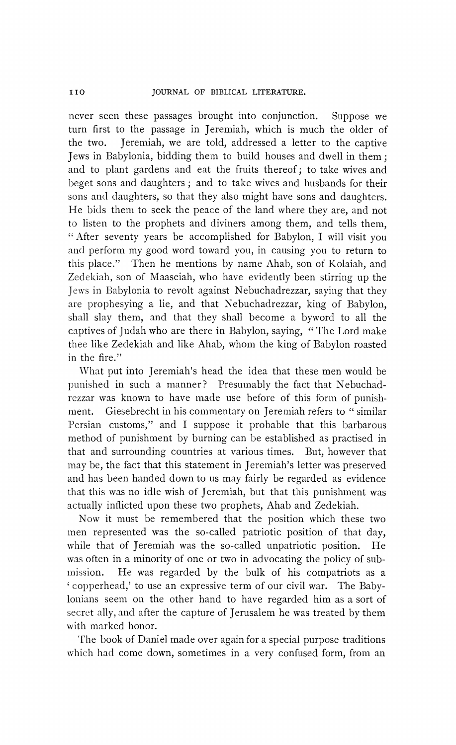**never seen these passages brought into conjunction. Suppose we turn first to the passage in Jeremiah, which is much the older of**  Jeremiah, we are told, addressed a letter to the captive **Jews in Babylonia, bidding them to build houses and dwell in them; and to plant gardens and eat the fruits thereof; to take wives and beget sons and daughters; and to take wives and husbands for their sons and daughters, so that they also might have sons and daughters. He bids them to seek the peace of the land where they are, and not to listen to the prophets and diviners among them, and tells them, " After seventy years be accomplished for Babylon, I will visit you**  and perform my good word toward you, in causing you to return to **this place." Then he mentions by name Ahab, son of Kolaiah, and Zedekiah, son of Maaseiah, who have evidently been stirring up the Jews in Babylonia to revolt against Nebuchadrezzar, saying that they are prophesying a lie, and that Nebuchadrezzar, king of Babylon, shall slay them, and that they shall become a byword to all the captives of Judah who are there in Babylon, saying, " The Lord make thee like Zedekiah and like Ahab, whom the king of Babylon roasted in the fire."** 

**What put into Jeremiah's head the idea that these men would be punished in such a manner? Presumably the fact that Nebuchadrezzar was known to have made use before of this form of punishment. Giesebrecht in his commentary on Jeremiah refers to " similar Persian customs," and I suppose it probable that this barbarous method of punishment by burning can be established as practised in that and surrounding countries at various times. But, however that may be, the fact that this statement in Jeremiah's letter was preserved and has been handed down to us may fairly be regarded as evidence that this was no idle wish of Jeremiah, but that this punishment was actually inflicted upon these two prophets, Ahab and Zedekiah.** 

**Now it must be remembered that the position which these two men represented was the so-called patriotic position of that day,**  while that of Jeremiah was the so-called unpatriotic position. **was often in a minority of one or two in advocating the policy of submission. He was regarded by the bulk of his compatriots as a ' copperhead,' to use an expressive term of our civil war. The Babylonians seem on the other hand to have regarded him as a sort of secret ally, and after the capture of Jerusalem he was treated by them with marked honor.** 

**The book of Daniel made over again for a special purpose traditions which had come down, sometimes in a very confused form, from an** 

**IIO**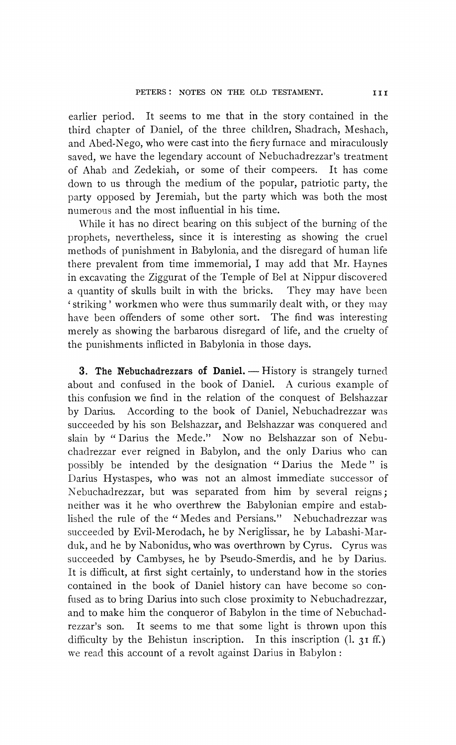**earlier period. It seems to me that in the story contained in the third chapter of Daniel, of the three children, Shadrach, Meshach, and Abed-Nego, who were cast into the fiery furnace and miraculously saved, we have the legendary account of Nebuchadrezzar's treatment of Ahab and Zedekiah, or some of their compeers. It has come down to us through the medium of the popular, patriotic party, the party opposed by Jeremiah, but the party which was both the most numerous and the most influential in his time.** 

**While it has no direct bearing on this subject of the burning of the prophets, nevertheless, since it is interesting as showing the cruel methods of punishment in Babylonia, and the disregard of human life there prevalent from time immemorial, I may add that Mr. Haynes in excavating the Ziggurat of the Temple of Bel at Nippur discovered a quantity of skulls built in with the bricks. They may have been 'striking' workmen who were thus summarily dealt with, or they may have been offenders of some other sort. The find was interesting merely as showing the barbarous disregard of life, and the cruelty of the punishments inflicted in Babylonia in those days.** 

**3. The Nebuchadrezzars of Daniel.** - History is strangely turned **about and confused in the book of Daniel. A curious example of this confusion we find in the relation of the conquest of Belshazzar by Darius. According to the book of Daniel, Nebuchadrezzar was succeeded by his son Belshazzar, and Belshazzar was conquered and slain by " Darius the Mede." Now no Belshazzar son of Nebuchadrezzar ever reigned in Babylon, and the only Darius who can possibly be intended by the designation "Darius the Mede " is Darius Hystaspes, who was not an almost immediate successor of Nebuchadrezzar, but was separated from him by several reigns; neither was it he who overthrew the Babylonian empire and established the rule of the " Medes and Persians." Nebuchadrezzar was succeeded by Evil-Merodach, he by Neriglissar, he by Labashi-Marduk, and he by Nabonidus, who was overthrown by Cyrus. Cyrus was succeeded by Cambyses, he by Pseudo-Smerdis, and he by Darius. It is difficult, at first sight certainly, to understand how in the stories contained in the book of Daniel history can have become so confused as to bring Darius into such close proximity to Nebuchadrezzar, and to make him the conqueror of Babylon in the time of Nebuchadrezzar's son. It seems to me that some light is thrown upon this**  difficulty by the Behistun inscription. In this inscription (1. 31 ff.) **we read this account of a revolt against Darius in Babylon:**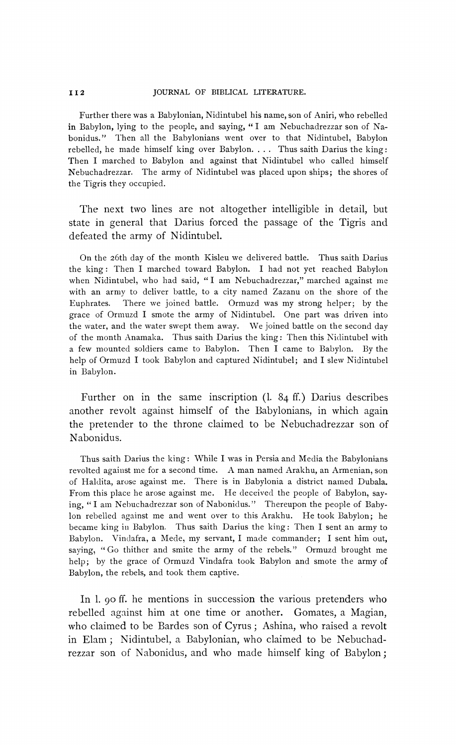## **JOURNAL OF BIBLICAL LITERATURE. 112**

**Further there was a Babylonian, Nidintubel his name, son of Aniri, who rebelled in Babylon, lying to the people, and saying, "I am Nebuchadrezzar son of Nabonidus." Then all the Babylonians went over to that Nidintubel, Babylon rebelled, he made himself king over Babylon .... Thus saith Darius the king: Then I marched to Babylon and against that Nidintubel who called himself Nebuchadrezzar. The army of Nidintubel was placed upon ships; the shores of the Tigris they occupied.** 

**The next two lines are not altogether intelligible in detail, but state in general that Darius forced the passage of the Tigris and defeated the army of Nidintubel.** 

**On the 26th day of the month Kisleu we delivered battle. Thus saith Darius the king: Then I marched toward Babylon. I had not yet reached Babylon when Nidintubel, who had said, "I am Nebuchadrezzar," marched against me with an army to deliver battle, to a city named Zazanu on the shore of the Euphrates. There we joined battle. Ormuzd was my strong helper; by the grace of Ormuzd I smote the army of Nidintubel. One part was driven into the water, and the water swept them away. We joined battle on the second day of the month Anamaka. Thus saith Darius the king: Then this Nidintubel with a few mounted soldiers came to Babylon. Then I came to Babylon. By the help of Ormuzd I took Babylon and captured Nidintubel; and I slew Nidintubel in Babylon.** 

**Further on in the same inscription (1. 84 ff.) Darius describes another revolt against himself of the Babylonians, in which again the pretender to the throne claimed to be Nebuchadrezzar son of Nabonidus.** 

**Thus saith Darius the king: While I was in Persia and Media the Babylonians revolted against me for a second time. A man named Arakhu, an Armenian, son of Haldita, arose against me. There is in Babylonia a district named Dubala. From this place he arose against me. He deceived the people of Babylon, saying, " I am Nebuchadrezzar son of Nabonidus." Thereupon the people of Babylon rebelled against me and went over to this Arakhu. He took Babylon; he became king in Babylon. Thus saith Darius the king: Then I sent an army to Babylon. Vindafra, a Mede, my servant, I made commander; I sent him out, saying, "Go thither and smite the army of the rebels." Ormuzd brought me help; by the grace of Ormuzd Vindafra took Babylon and smote the army of Babylon, the rebels, and took them captive.** 

**In 1. go ff. he mentions in succession the various pretenders who rebelled against him at one time or another. Gomates, a Magian, who claimed to be Bardes son of Cyrus; Ashina, who raised a revolt in Elam; Nidintubel, a Babylonian, who claimed to be Nebuchadrezzar son of Nabonidus, and who made himself king of Babylon;**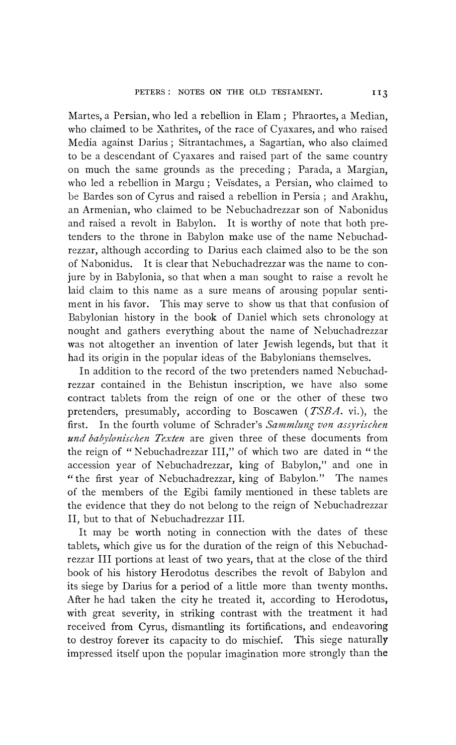**Martes, a Persian, who led a rebellion in Elam; Phraortes, a Median, who claimed to be Xathrites, of the race of Cyaxares, and who raised Media against Darius; Sitrantachmes, a Sagartian, who also claimed to be a descendant of Cyaxares and raised part of the same country on much the same grounds as the preceding; Parada, a Margian, who led a rebellion in Margu; Veisdates, a Persian, who claimed to be Bardes son of Cyrus and raised a rebellion in Persia; and Arakhu, an Armenian, who claimed to be Nebuchadrezzar son of Nabonidus and raised a revolt in Babylon. It is worthy of note that both pretenders to the throne in Babylon make use of the name Nebuchadrezzar, although according to Darius each claimed also to be the son of Nabonidus. It is clear that Nebuchadrezzar was the name to conjure by in Babylonia, so that when a man sought to raise a revolt he laid claim to this name as a sure means of arousing popular sentiment in his favor. This may serve to show us that that confusion of Babylonian history in the book of Daniel which sets chronology at nought and gathers everything about the name of Nebuchadrezzar was not altogether an invention of later Jewish legends, but that it had its origin in the popular ideas of the Babylonians themselves.** 

**In addition to the record of the two pretenders named Nebuchadrezzar contained in the Behistun inscription, we have also some contract tablets from the reign of one or the other of these two pretenders, presumably, according to Boscawen (TSBA. vi.), the first. In the fourth volume of Schrader's Sammlung von assyrischen und babylonischen Texten are given three of these documents from the reign of "Nebuchadrezzar III," of which two are dated in "the accession year of Nebuchadrezzar, king of Babylon," and one in "the first year of Nebuchadrezzar, king of Babylon." The names of the members of the Egibi family mentioned in these tablets are the evidence that they do not belong to the reign of Nebuchadrezzar II, but to that of Nebuchadrezzar III.** 

**It may be worth noting in connection with the dates of these tablets, which give us for the duration of the reign of this Nebuchadrezzar III portions at least of two years, that at the close of the third book of his history Herodotus describes the revolt of Babylon and its siege by Darius for a period of a little more than twenty months. After he had taken the city he treated it, according to Herodotus, with great severity, in striking contrast with the treatment it had received from Cyrus, dismantling its fortifications, and endeavoring to destroy forever its capacity to do mischief. This siege naturally impressed itself upon the popular imagination more strongly than the**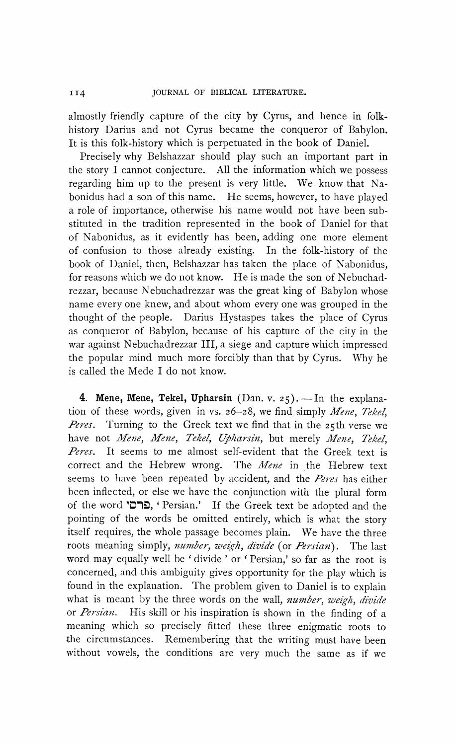**almostly friendly capture of the city by Cyrus, and hence in folkhistory Darius and not Cyrus became the conqueror of Babylon. It is this folk-history which is perpetuated in the book of Daniel.** 

**Precisely why Belshazzar should play such an important part in the story I cannot conjecture. All the information which we possess regarding him up to the present is very little. We know that Nabonidus had a son of this name. He seems, however, to have played a role of importance, otherwise his name would not have been substituted in the tradition represented in the book of Daniel for that of Nabonidus, as it evidently has been, adding one more element of confusion to those already existing. In the folk-history of the book of Daniel, then, Belshazzar has taken the place of Nabonidus, for reasons which we do not know. He is made the son of Nebuchadrezzar, because Nebuchadrezzar was the great king of Babylon whose name every one knew, and about whom every one was grouped in the thought of the people. Darius Hystaspes takes the place of Cyrus as conqueror of Babylon, because of his capture of the city in the war against Nebuchadrezzar III, a siege and capture which impressed the popular mind much more forcibly than that by Cyrus. Why he is called the Mede I do not know.** 

4. Mene, Mene, Tekel, Upharsin (Dan. v. 25). - In the explanation of these words, given in vs. 26-28, we find simply *Mene*, Tekel, **Peres. Turning to the Greek text we find that in the 25th verse we**  have not Mene, Mene, Tekel, Upharsin, but merely Mene, Tekel, **Peres. It seems to me almost self-evident that the Greek text is correct and the Hebrew wrong. The Mene in the Hebrew text seems to have been repeated by accident, and the Peres has either been inflected, or else we have the conjunction with the plural form of the word '1DS , 'Persian.' If the Greek text be adopted and the pointing of the words be omitted entirely, which is what the story itself requires, the whole passage becomes plain. We have the three roots meaning simply,** *number***, weigh, divide (or** *Persian***). The last word may equally well be 'divide ' or ' Persian,' so far as the root is concerned, and this ambiguity gives opportunity for the play which is found in the explanation. The problem given to Daniel is to explain what is meant by the three words on the wall, number, weigh, divide or Persian. His skill or his inspiration is shown in the finding of a meaning which so precisely fitted these three enigmatic roots to the circumstances. Remembering that the writing must have been without vowels, the conditions are very much the same as if we** 

**Ii4**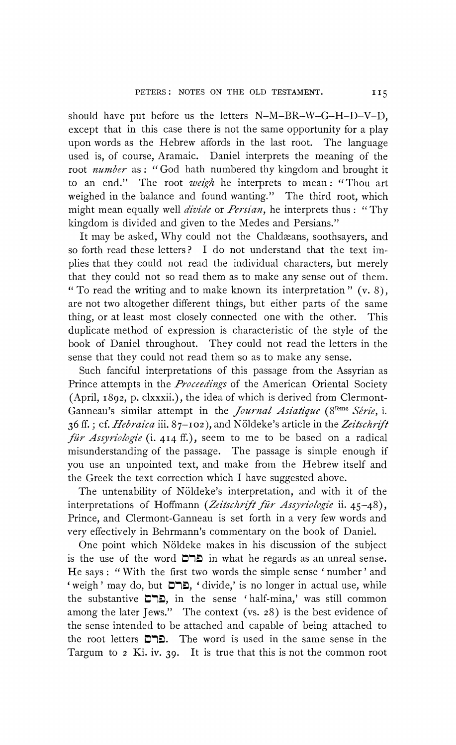**should have put before us the letters N-M-BR-W-G-H-D-V-D, except that in this case there is not the same opportunity for a play upon words as the Hebrew affords in the last root. The language used is, of course, Aramaic. Daniel interprets the meaning of the root number as: " God hath numbered thy kingdom and brought it to an end." The root weigh he interprets to mean: "Thou art weighed in the balance and found wanting." The third root, which might mean equally well divide or Persian, he interprets thus: "Thy kingdom is divided and given to the Medes and Persians."** 

It may be asked, Why could not the Chaldæans, soothsayers, and **so forth read these letters? I do not understand that the text implies that they could not read the individual characters, but merely that they could not so read them as to make any sense out of them. " To read the writing and to make known its interpretation " (v. 8), are not two altogether different things, but either parts of the same thing, or at least most closely connected one with the other. This duplicate method of expression is characteristic of the style of the book of Daniel throughout. They could not read the letters in the sense that they could not read them so as to make any sense.** 

**Such fanciful interpretations of this passage from the Assyrian as Prince attempts in the Proceedings of the American Oriental Society (April, 1892, p. clxxxii.), the idea of which is derived from Clermont-**Ganneau's similar attempt in the *Journal Asiatique* (8<sup>ième</sup> Série, i. **36 ff.; cf. Hebraica iii. 87-102), and Noldeke's article in the Zeitschrift**  für Assyriologie (i. 414 ff.), seem to me to be based on a radical **misunderstanding of the passage. The passage is simple enough if you use an unpointed text, and make from the Hebrew itself and the Greek the text correction which I have suggested above.** 

The untenability of Nöldeke's interpretation, and with it of the **interpretations of Hoffmann (Zeitschrift fiir Assyriologie ii. 45-48), Prince, and Clermont-Ganneau is set forth in a very few words and very effectively in Behrmann's commentary on the book of Daniel.** 

**One point which Noldeke makes in his discussion of the subject**  is the use of the word **ברם** in what he regards as an unreal sense. **He says: "With the first two words the simple sense 'number' and ' weigh' may do, but 3'1, 'divide,' is no longer in actual use, while the substantive =1t, in the sense 'half-mina,' was still common among the later Jews." The context (vs. 28) is the best evidence of the sense intended to be attached and capable of being attached to the root letters DP.** The word is used in the same sense in the **Targum to 2 Ki. iv. 39. It is true that this is not the common root**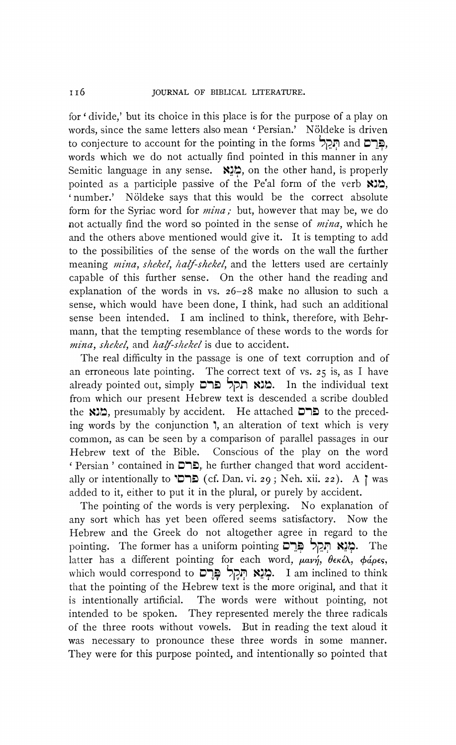**for' divide,' but its choice in this place is for the purpose of a play on**  words, since the same letters also mean 'Persian.' Nöldeke is driven to conjecture to account for the pointing in the forms הְכָל and **בְּרֵם**, **words which we do not actually find pointed in this manner in any Semitic language in any sense. XJt, on the other hand, is properly pointed as a participle passive of the Pe'al form of the verb 832.** 'number.' Nöldeke says that this would be the correct absolute **form for the Syriac word for mina; but, however that may be, we do not actually find the word so pointed in the sense of mina, which he and the others above mentioned would give it. It is tempting to add to the possibilities of the sense of the words on the wall the further meaning mina, shekel, ha{f-shekel, and the letters used are certainly capable of this further sense. On the other hand the reading and explanation of the words in vs. 26-28 make no allusion to such a sense, which would have been done, I think, had such an additional sense been intended. I am inclined to think, therefore, with Behrmann, that the tempting resemblance of these words to the words for mina, shekel, and half-shekel is due to accident.** 

**The real difficulty in the passage is one of text corruption and of an erroneous late pointing. The correct text of vs. 25 is, as I have already pointed out, simply D'1D Wl l3i. t In the individual text from which our present Hebrew text is descended a scribe doubled the SIZ,** presumably by accident. He attached **ברם** to the preced**ing words by the conjunction 1, an alteration of text which is very common, as can be seen by a comparison of parallel passages in our**  Conscious of the play on the word **' Persian ' contained in DID**, he further changed that word accident**ally or intentionally to '3'1 (cf. Dan. vi. 29; Neh. xii. 22). A I was added to it, either to put it in the plural, or purely by accident.** 

**The pointing of the words is very perplexing. No explanation of any sort which has yet been offered seems satisfactory. Now the Hebrew and the Greek do not altogether agree in regard to the**  pointing. The former has a uniform pointing פְ**יֹגַא** הְכֵל פְּרֵם, The latter has a different pointing for each word, μανή, θεκέλ, φάρες, which would correspond to **בְּנֵא** הְכֵל פַּרֵם. I am inclined to think **that the pointing of the Hebrew text is the more original, and that it is intentionally artificial. The words were without pointing, not intended to be spoken. They represented merely the three radicals of the three roots without vowels. But in reading the text aloud it was necessary to pronounce these three words in some manner. They were for this purpose pointed, and intentionally so pointed that**